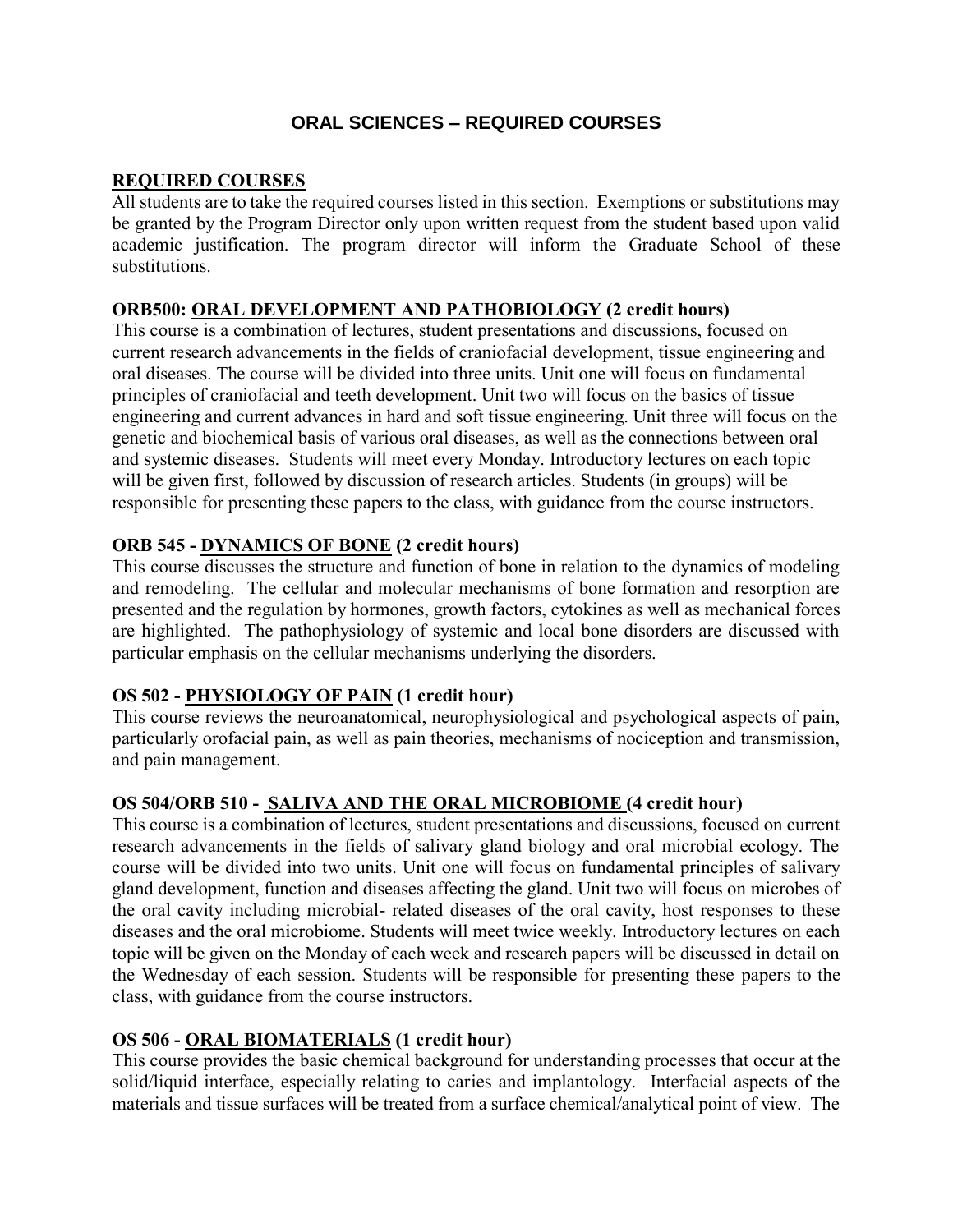# **ORAL SCIENCES – REQUIRED COURSES**

#### **REQUIRED COURSES**

All students are to take the required courses listed in this section. Exemptions or substitutions may be granted by the Program Director only upon written request from the student based upon valid academic justification. The program director will inform the Graduate School of these substitutions.

### **ORB500: ORAL DEVELOPMENT AND PATHOBIOLOGY (2 credit hours)**

This course is a combination of lectures, student presentations and discussions, focused on current research advancements in the fields of craniofacial development, tissue engineering and oral diseases. The course will be divided into three units. Unit one will focus on fundamental principles of craniofacial and teeth development. Unit two will focus on the basics of tissue engineering and current advances in hard and soft tissue engineering. Unit three will focus on the genetic and biochemical basis of various oral diseases, as well as the connections between oral and systemic diseases. Students will meet every Monday. Introductory lectures on each topic will be given first, followed by discussion of research articles. Students (in groups) will be responsible for presenting these papers to the class, with guidance from the course instructors.

### **ORB 545 - DYNAMICS OF BONE (2 credit hours)**

This course discusses the structure and function of bone in relation to the dynamics of modeling and remodeling. The cellular and molecular mechanisms of bone formation and resorption are presented and the regulation by hormones, growth factors, cytokines as well as mechanical forces are highlighted. The pathophysiology of systemic and local bone disorders are discussed with particular emphasis on the cellular mechanisms underlying the disorders.

### **OS 502 - PHYSIOLOGY OF PAIN (1 credit hour)**

This course reviews the neuroanatomical, neurophysiological and psychological aspects of pain, particularly orofacial pain, as well as pain theories, mechanisms of nociception and transmission, and pain management.

### **OS 504/ORB 510 - SALIVA AND THE ORAL MICROBIOME (4 credit hour)**

This course is a combination of lectures, student presentations and discussions, focused on current research advancements in the fields of salivary gland biology and oral microbial ecology. The course will be divided into two units. Unit one will focus on fundamental principles of salivary gland development, function and diseases affecting the gland. Unit two will focus on microbes of the oral cavity including microbial- related diseases of the oral cavity, host responses to these diseases and the oral microbiome. Students will meet twice weekly. Introductory lectures on each topic will be given on the Monday of each week and research papers will be discussed in detail on the Wednesday of each session. Students will be responsible for presenting these papers to the class, with guidance from the course instructors.

### **OS 506 - ORAL BIOMATERIALS (1 credit hour)**

This course provides the basic chemical background for understanding processes that occur at the solid/liquid interface, especially relating to caries and implantology. Interfacial aspects of the materials and tissue surfaces will be treated from a surface chemical/analytical point of view. The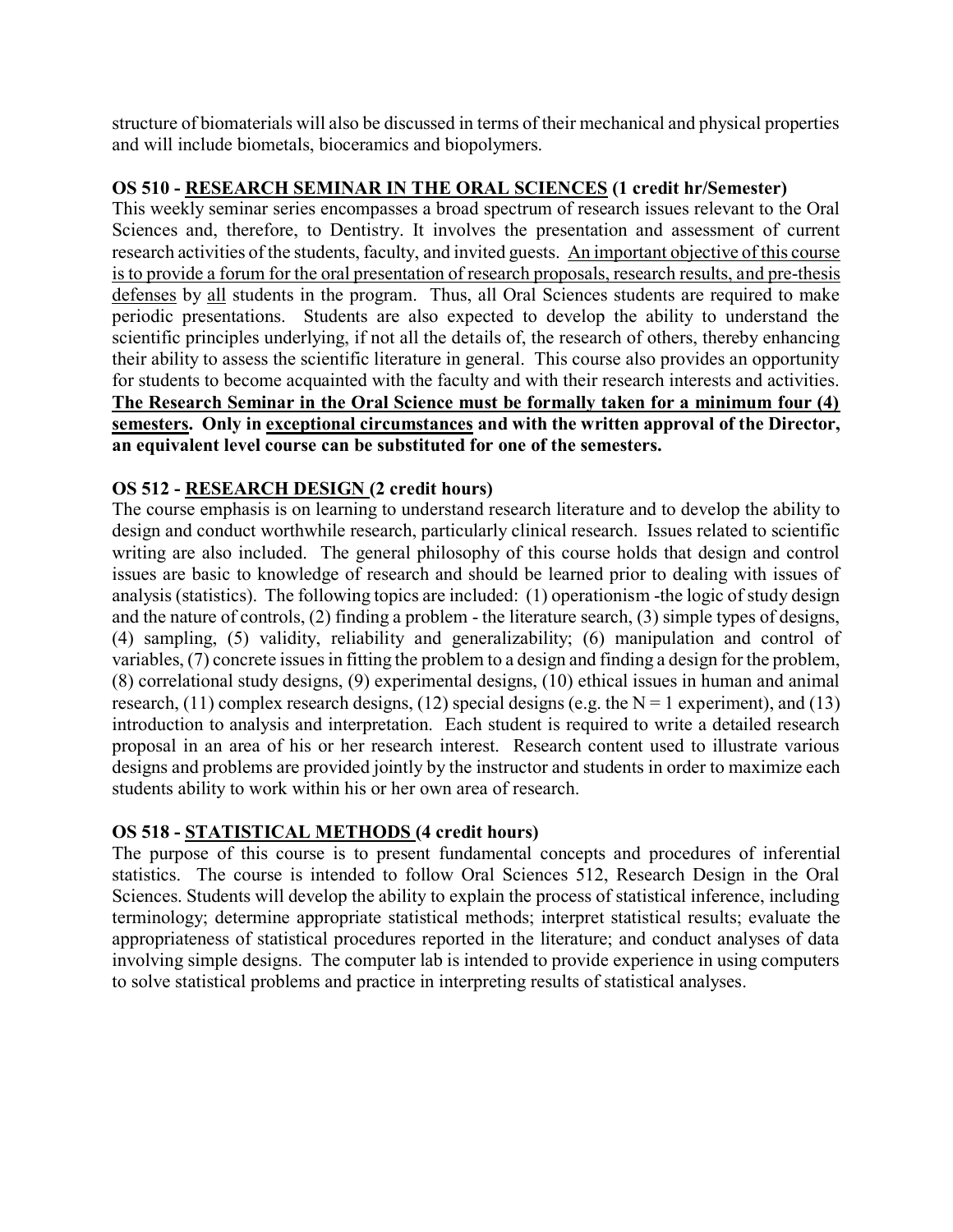structure of biomaterials will also be discussed in terms of their mechanical and physical properties and will include biometals, bioceramics and biopolymers.

## **OS 510 - RESEARCH SEMINAR IN THE ORAL SCIENCES (1 credit hr/Semester)**

This weekly seminar series encompasses a broad spectrum of research issues relevant to the Oral Sciences and, therefore, to Dentistry. It involves the presentation and assessment of current research activities of the students, faculty, and invited guests. An important objective of this course is to provide a forum for the oral presentation of research proposals, research results, and pre-thesis defenses by all students in the program. Thus, all Oral Sciences students are required to make periodic presentations. Students are also expected to develop the ability to understand the scientific principles underlying, if not all the details of, the research of others, thereby enhancing their ability to assess the scientific literature in general. This course also provides an opportunity for students to become acquainted with the faculty and with their research interests and activities. **The Research Seminar in the Oral Science must be formally taken for a minimum four (4) semesters. Only in exceptional circumstances and with the written approval of the Director, an equivalent level course can be substituted for one of the semesters.** 

# **OS 512 - RESEARCH DESIGN (2 credit hours)**

The course emphasis is on learning to understand research literature and to develop the ability to design and conduct worthwhile research, particularly clinical research. Issues related to scientific writing are also included. The general philosophy of this course holds that design and control issues are basic to knowledge of research and should be learned prior to dealing with issues of analysis (statistics). The following topics are included: (1) operationism -the logic of study design and the nature of controls, (2) finding a problem - the literature search, (3) simple types of designs, (4) sampling, (5) validity, reliability and generalizability; (6) manipulation and control of variables, (7) concrete issues in fitting the problem to a design and finding a design for the problem, (8) correlational study designs, (9) experimental designs, (10) ethical issues in human and animal research, (11) complex research designs, (12) special designs (e.g. the  $N = 1$  experiment), and (13) introduction to analysis and interpretation. Each student is required to write a detailed research proposal in an area of his or her research interest. Research content used to illustrate various designs and problems are provided jointly by the instructor and students in order to maximize each students ability to work within his or her own area of research.

### **OS 518 - STATISTICAL METHODS (4 credit hours)**

The purpose of this course is to present fundamental concepts and procedures of inferential statistics. The course is intended to follow Oral Sciences 512, Research Design in the Oral Sciences. Students will develop the ability to explain the process of statistical inference, including terminology; determine appropriate statistical methods; interpret statistical results; evaluate the appropriateness of statistical procedures reported in the literature; and conduct analyses of data involving simple designs. The computer lab is intended to provide experience in using computers to solve statistical problems and practice in interpreting results of statistical analyses.